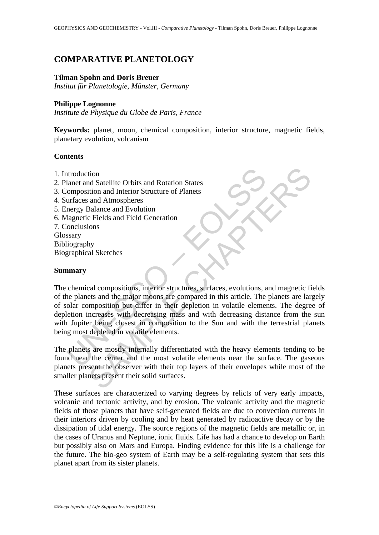# **COMPARATIVE PLANETOLOGY**

#### **Tilman Spohn and Doris Breuer**

*Institut für Planetologie, Münster, Germany* 

### **Philippe Lognonne**

*Institute de Physique du Globe de Paris, France* 

**Keywords:** planet, moon, chemical composition, interior structure, magnetic fields, planetary evolution, volcanism

## **Contents**

- 1. Introduction
- 2. Planet and Satellite Orbits and Rotation States
- 3. Composition and Interior Structure of Planets
- 4. Surfaces and Atmospheres
- 5. Energy Balance and Evolution
- 6. Magnetic Fields and Field Generation
- 7. Conclusions Glossary Bibliography Biographical Sketches

## **Summary**

ntroduction<br>
alanet and Satellite Orbits and Rotation States<br>
composition and Interior Structure of Planets<br>
urfaces and Atmospheres<br>
nergy Balance and Evolution<br>
flagnetic Fields and Field Generation<br>
conclusions<br>
ssary<br> tion and Interior Structure of Planets<br>
and Atmospheres<br>
and Atmospheres<br>
and Atmospheres<br>
and Evolution<br>
cal compositions, interior structures, surfaces, evolutions, and magnetic fields<br>
and the major moons are compared i The chemical compositions, interior structures, surfaces, evolutions, and magnetic fields of the planets and the major moons are compared in this article. The planets are largely of solar composition but differ in their depletion in volatile elements. The degree of depletion increases with decreasing mass and with decreasing distance from the sun with Jupiter being closest in composition to the Sun and with the terrestrial planets being most depleted in volatile elements.

The planets are mostly internally differentiated with the heavy elements tending to be found near the center and the most volatile elements near the surface. The gaseous planets present the observer with their top layers of their envelopes while most of the smaller planets present their solid surfaces.

These surfaces are characterized to varying degrees by relicts of very early impacts, volcanic and tectonic activity, and by erosion. The volcanic activity and the magnetic fields of those planets that have self-generated fields are due to convection currents in their interiors driven by cooling and by heat generated by radioactive decay or by the dissipation of tidal energy. The source regions of the magnetic fields are metallic or, in the cases of Uranus and Neptune, ionic fluids. Life has had a chance to develop on Earth but possibly also on Mars and Europa. Finding evidence for this life is a challenge for the future. The bio-geo system of Earth may be a self-regulating system that sets this planet apart from its sister planets.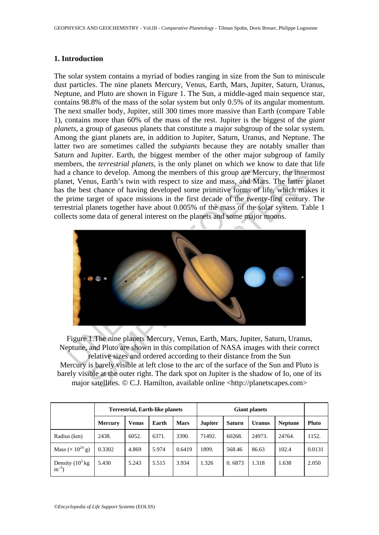## **1. Introduction**

The solar system contains a myriad of bodies ranging in size from the Sun to miniscule dust particles. The nine planets Mercury, Venus, Earth, Mars, Jupiter, Saturn, Uranus, Neptune, and Pluto are shown in Figure 1. The Sun, a middle-aged main sequence star, contains 98.8% of the mass of the solar system but only 0.5% of its angular momentum. The next smaller body, Jupiter, still 300 times more massive than Earth (compare Table 1), contains more than 60% of the mass of the rest. Jupiter is the biggest of the *giant planets*, a group of gaseous planets that constitute a major subgroup of the solar system. Among the giant planets are, in addition to Jupiter, Saturn, Uranus, and Neptune. The latter two are sometimes called the *subgiants* because they are notably smaller than Saturn and Jupiter. Earth, the biggest member of the other major subgroup of family members, the *terrestrial planets*, is the only planet on which we know to date that life had a chance to develop. Among the members of this group are Mercury, the innermost planet, Venus, Earth's twin with respect to size and mass, and Mars. The latter planet has the best chance of having developed some primitive forms of life, which makes it the prime target of space missions in the first decade of the twenty-first century. The terrestrial planets together have about 0.005% of the mass of the solar system. Table 1 collects some data of general interest on the planets and some major moons.



Figure 1.The nine planets Mercury, Venus, Earth, Mars, Jupiter, Saturn, Uranus, Neptune, and Pluto are shown in this compilation of NASA images with their correct relative sizes and ordered according to their distance from the Sun Mercury is barely visible at left close to the arc of the surface of the Sun and Pluto is barely visible at the outer right. The dark spot on Jupiter is the shadow of Io, one of its major satellites. © C.J. Hamilton, available online <http://planetscapes.com>

|                                          |                | <b>Terrestrial, Earth-like planets</b> |       |             |                |               |               |                |        |
|------------------------------------------|----------------|----------------------------------------|-------|-------------|----------------|---------------|---------------|----------------|--------|
|                                          | <b>Mercury</b> | Venus                                  | Earth | <b>Mars</b> | <b>Jupiter</b> | <b>Saturn</b> | <b>Uranus</b> | <b>Neptune</b> | Pluto  |
| Radius (km)                              | 2438.          | 6052.                                  | 6371. | 3390.       | 71492.         | 60268.        | 24973.        | 24764.         | 1152.  |
| Mass ( $\times$ 10 <sup>24</sup> g)      | 0.3302         | 4.869                                  | 5.974 | 0.6419      | 1899.          | 568.46        | 86.63         | 102.4          | 0.0131 |
| Density $(10^3 \text{kg})$<br>$m^{-3}$ ) | 5.430          | 5.243                                  | 5.515 | 3.934       | 1.326          | 0.6873        | 1.318         | 1.638          | 2.050  |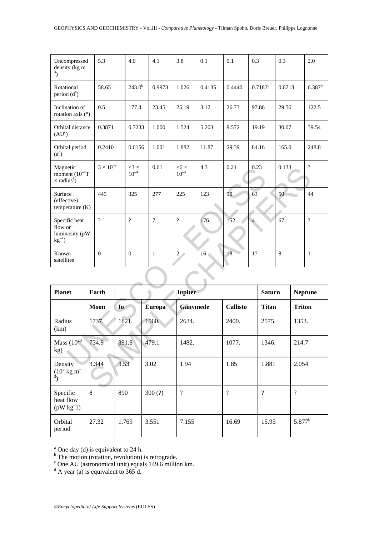| Uncompressed<br>density $\overline{(\text{kg m})}$<br>$3$ )       |  | 5.3                      |       | 4.0                      |       | 4.1            | 3.8                         | 0.1             | 0.1             | 0.3            |               | 0.3                    |       | 2.0            |  |
|-------------------------------------------------------------------|--|--------------------------|-------|--------------------------|-------|----------------|-----------------------------|-----------------|-----------------|----------------|---------------|------------------------|-------|----------------|--|
| Rotational<br>period $(da)$                                       |  | 58.65                    |       | $243.0^{b}$              |       | 0.9973         | 1.026                       | 0.4135          | 0.4440          |                |               | $0.7183^{b}$<br>0.6713 |       | $6.387^b$      |  |
| Inclination of<br>rotation axis $(°)$                             |  | 0.5                      |       | 177.4                    |       | 23.45          | 25.19                       | 3.12            | 26.73           |                | 97.86         | 29.56                  |       | 122.5          |  |
| Orbital distance<br>$(AU^c)$                                      |  | 0.3871                   |       | 0.7233                   |       | 1.000          | 1.524                       | 5.203           | 9.572           | 19.19          |               | 30.07                  |       | 39.54          |  |
| Orbital period<br>$(a^d)$                                         |  | 0.2410                   |       | 0.6156                   |       | 1.001          | 1.882                       | 11.87           | 29.39           | 84.16          |               | 165.0                  |       | 248.8          |  |
| Magnetic<br>moment $(10^{-4}T)$<br>$\times$ radius <sup>3</sup> ) |  | $3\times10^{-3}$         |       | $<3 \times$<br>$10^{-4}$ |       | 0.61           | $<$ 6 $\times$<br>$10^{-4}$ | 4.3             | 0.21            | 0.23           |               | 0.133                  |       | $\overline{?}$ |  |
| Surface<br>(effective)<br>temperature $(K)$                       |  | 445                      |       | 325                      |       | 277            | 225                         | 123             | 90              | 63             |               | 50                     |       | 44             |  |
| Specific heat<br>flow or<br>luminosity (pW<br>$kg^{-1}$           |  | $\overline{\mathcal{L}}$ |       | $\overline{?}$           |       | $\overline{7}$ | $\overline{?}$              | 176             | 152             | $\overline{4}$ |               | 67                     |       | $\overline{?}$ |  |
| Known<br>satellites                                               |  | $\boldsymbol{0}$         |       | $\boldsymbol{0}$         |       | $\mathbf{1}$   | $2\sqrt{ }$                 | 16 <sub>1</sub> | 18              | 17             |               | $\,8\,$                |       | $\mathbf{1}$   |  |
|                                                                   |  |                          |       |                          |       |                |                             |                 |                 |                |               |                        |       |                |  |
| <b>Planet</b>                                                     |  | <b>Earth</b>             |       |                          |       |                |                             | <b>Jupiter</b>  |                 |                | <b>Saturn</b> |                        |       | <b>Neptune</b> |  |
|                                                                   |  | Moon                     | Io    |                          |       | <b>Europa</b>  | <b>Ganymede</b>             |                 | <b>Callisto</b> |                | <b>Titan</b>  |                        |       | <b>Triton</b>  |  |
| Radius<br>(km)                                                    |  | 1737.                    | 1821. |                          | 1560. |                | 2634.                       |                 | 2400.           |                | 2575.         |                        | 1353. |                |  |
| Mass $(10^{20}$<br>kg)                                            |  | 734.9                    |       | 891.8                    |       | 479.1          | 1482.                       |                 |                 |                | 1346.         |                        | 214.7 |                |  |
| Density                                                           |  | 3.344<br>3.53            |       |                          | 3.02  |                | 1.94                        |                 |                 |                | 1.881         |                        |       | 2.054          |  |

| Magnetic<br>moment $(10^{-4}T)$<br>$\times$ radius <sup>3</sup> )    |   | $3 \times 10^{-3}$ | $3 \times$<br>$10^{-4}$  |                | 0.61           | $<6\times$<br>$10^{-4}$ | 4.3             |                 | 0.21<br>0.23   |                | 0.133 |                | ?              |  |
|----------------------------------------------------------------------|---|--------------------|--------------------------|----------------|----------------|-------------------------|-----------------|-----------------|----------------|----------------|-------|----------------|----------------|--|
| Surface<br>(effective)<br>temperature $(K)$                          |   | 445                | 325                      | 277            |                | 225                     | 123             | 90              | 63             |                | 50    |                | 44             |  |
| Specific heat<br>flow or<br>luminosity (pW<br>$kg^{-1}$ )            |   | $\overline{?}$     | $\overline{\mathcal{L}}$ |                | $\overline{7}$ | $\overline{?}$          | 176             | 152             | $\overline{4}$ |                | 67    |                | $\overline{?}$ |  |
| Known<br>satellites                                                  |   | $\boldsymbol{0}$   | $\boldsymbol{0}$         |                | $\mathbf{1}$   | $2\sqrt{ }$             | 16 <sub>1</sub> | 18              | 17             |                | 8     |                | $\mathbf{1}$   |  |
|                                                                      |   |                    |                          |                |                |                         |                 |                 |                |                |       |                |                |  |
| <b>Planet</b>                                                        |   | Earth              |                          | <b>Jupiter</b> |                |                         |                 |                 |                | <b>Saturn</b>  |       | <b>Neptune</b> |                |  |
|                                                                      |   | Moon               | Io                       |                | Europa         | <b>Ganymede</b>         |                 | <b>Callisto</b> |                | <b>Titan</b>   |       | <b>Triton</b>  |                |  |
| Radius<br>(km)                                                       |   | 1737.              | 1821.                    |                | 1560.          | 2634.                   |                 | 2400.           |                | 2575.          |       | 1353.          |                |  |
| Mass $(10^{20}$<br>kg)                                               |   | 734.9              | 891.8                    | 479.1          |                | 1482.                   |                 |                 | 1077.          |                | 1346. |                | 214.7          |  |
| Density<br>$(10^3 \,\mathrm{kg} \,\mathrm{m}^{-1})$<br>$\frac{3}{2}$ |   | 3.344              | 3.53                     |                | 3.02           | 1.94                    |                 | 1.85            |                | 1.881          |       | 2.054          |                |  |
| Specific<br>heat flow<br>$(pW kg-1)$                                 | 8 |                    | 890                      |                | 300(?)         | $\gamma$                |                 |                 |                | $\overline{?}$ |       | $\overline{?}$ |                |  |
| Orbital<br>period                                                    |   | 27.32              | 1.769                    |                | 3.551          | 7.155                   |                 | 16.69           |                | 15.95          |       | $5.877^{b}$    |                |  |

<sup>a</sup> One day (d) is equivalent to 24 h.<br>
<sup>b</sup> The motion (rotation, revolution) is retrograde.<br>
<sup>c</sup> One AU (astronomical unit) equals 149.6 million km.<br>
<sup>d</sup> A year (a) is equivalent to 365 d.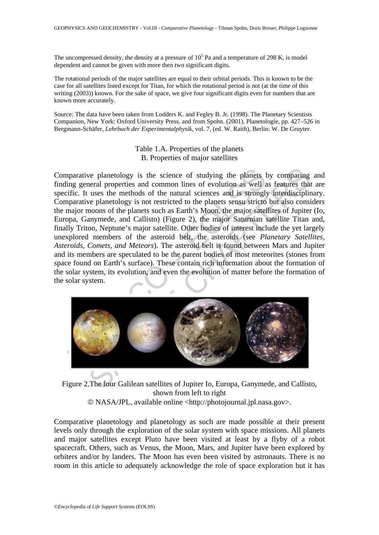The uncompressed density, the density at a pressure of  $10<sup>5</sup>$  Pa and a temperature of 298 K, is model dependent and cannot be given with more then two significant digits.

The rotational periods of the major satellites are equal to their orbital periods. This is known to be the case for all satellites listed except for Titan, for which the rotational period is not (at the time of this writing (2003)) known. For the sake of space, we give four significant digits even for numbers that are known more accurately.

Source: The data have been taken from Lodders K. and Fegley B. Jr. (1998). The Planetary Scientists Companion, New York: Oxford University Press. and from Spohn. (2001). Planetologie, pp. 427–526 in Bergmann-Schäfer, *Lehrbuch der Experimentalphysik*, vol. 7, (ed. W. Raith), Berlin: W. De Gruyter.

> Table 1.A. Properties of the planets B. Properties of major satellites

marative planetology is the science of studying the planets hing general properties and common lines of evolution as well a sifice. It uses the methods of the natural sciences and is strongly parative planetology is not re we planetology is the science of studying the planets by comparing<br>neral properties and common lines of evolution as well as features that<br>uses the methods of the natural sciences and is strongly interdisciplin<br>noons of th Comparative planetology is the science of studying the planets by comparing and finding general properties and common lines of evolution as well as features that are specific. It uses the methods of the natural sciences and is strongly interdisciplinary. Comparative planetology is not restricted to the planets sensu stricto but also considers the major moons of the planets such as Earth's Moon, the major satellites of Jupiter (Io, Europa, Ganymede, and Callisto) (Figure 2), the major Saturnian satellite Titan and, finally Triton, Neptune's major satellite. Other bodies of interest include the yet largely unexplored members of the asteroid belt, the asteroids (see *Planetary Satellites*, *Asteroids, Comets, and Meteors*). The asteroid belt is found between Mars and Jupiter and its members are speculated to be the parent bodies of most meteorites (stones from space found on Earth's surface). These contain rich information about the formation of the solar system, its evolution, and even the evolution of matter before the formation of the solar system.



Figure 2.The four Galilean satellites of Jupiter Io, Europa, Ganymede, and Callisto, shown from left to right © NASA/JPL, available online <http://photojournal.jpl.nasa.gov>.

Comparative planetology and planetology as such are made possible at their present levels only through the exploration of the solar system with space missions. All planets and major satellites except Pluto have been visited at least by a flyby of a robot spacecraft. Others, such as Venus, the Moon, Mars, and Jupiter have been explored by orbiters and/or by landers. The Moon has even been visited by astronauts. There is no room in this article to adequately acknowledge the role of space exploration but it has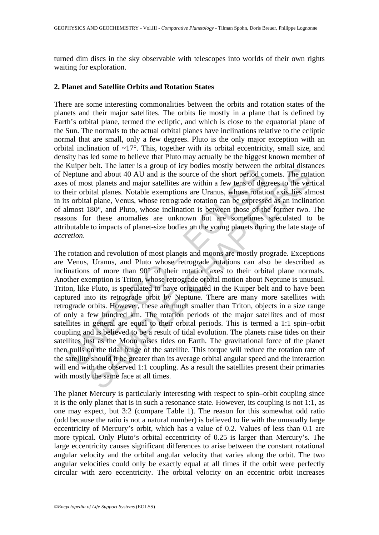turned dim discs in the sky observable with telescopes into worlds of their own rights waiting for exploration.

### **2. Planet and Satellite Orbits and Rotation States**

There are some interesting commonalities between the orbits and rotation states of the planets and their major satellites. The orbits lie mostly in a plane that is defined by Earth's orbital plane, termed the ecliptic, and which is close to the equatorial plane of the Sun. The normals to the actual orbital planes have inclinations relative to the ecliptic normal that are small, only a few degrees. Pluto is the only major exception with an orbital inclination of  $\sim 17^\circ$ . This, together with its orbital eccentricity, small size, and density has led some to believe that Pluto may actually be the biggest known member of the Kuiper belt. The latter is a group of icy bodies mostly between the orbital distances of Neptune and about 40 AU and is the source of the short period comets. The rotation axes of most planets and major satellites are within a few tens of degrees to the vertical to their orbital planes. Notable exemptions are Uranus, whose rotation axis lies almost in its orbital plane, Venus, whose retrograde rotation can be expressed as an inclination of almost 180°, and Pluto, whose inclination is between those of the former two. The reasons for these anomalies are unknown but are sometimes speculated to be attributable to impacts of planet-size bodies on the young planets during the late stage of *accretion*.

Experience. The tauter is a group of the youters atosay occure and substitute of the short period content and about 40 AU and is the source of the short period control of sof most planets and major satellites are within a bent. The latter is a gloup of the youth small of the statellities present the othera is and about 40 AU and is the source of the short period comets. The rotation and anal plane, Notable exemptions are Uranus, whose rotat The rotation and revolution of most planets and moons are mostly prograde. Exceptions are Venus, Uranus, and Pluto whose retrograde rotations can also be described as inclinations of more than 90° of their rotation axes to their orbital plane normals. Another exemption is Triton, whose retrograde orbital motion about Neptune is unusual. Triton, like Pluto, is speculated to have originated in the Kuiper belt and to have been captured into its retrograde orbit by Neptune. There are many more satellites with retrograde orbits. However, these are much smaller than Triton, objects in a size range of only a few hundred km. The rotation periods of the major satellites and of most satellites in general are equal to their orbital periods. This is termed a 1:1 spin–orbit coupling and is believed to be a result of tidal evolution. The planets raise tides on their satellites just as the Moon raises tides on Earth. The gravitational force of the planet then pulls on the tidal bulge of the satellite. This torque will reduce the rotation rate of the satellite should it be greater than its average orbital angular speed and the interaction will end with the observed 1:1 coupling. As a result the satellites present their primaries with mostly the same face at all times.

The planet Mercury is particularly interesting with respect to spin–orbit coupling since it is the only planet that is in such a resonance state. However, its coupling is not 1:1, as one may expect, but 3:2 (compare Table 1). The reason for this somewhat odd ratio (odd because the ratio is not a natural number) is believed to lie with the unusually large eccentricity of Mercury's orbit, which has a value of 0.2. Values of less than 0.1 are more typical. Only Pluto's orbital eccentricity of 0.25 is larger than Mercury's. The large eccentricity causes significant differences to arise between the constant rotational angular velocity and the orbital angular velocity that varies along the orbit. The two angular velocities could only be exactly equal at all times if the orbit were perfectly circular with zero eccentricity. The orbital velocity on an eccentric orbit increases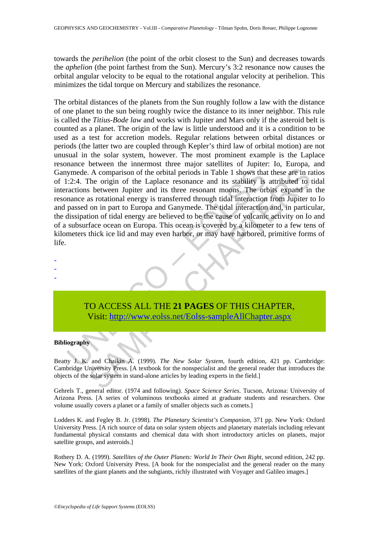towards the *perihelion* (the point of the orbit closest to the Sun) and decreases towards the *aphelion* (the point farthest from the Sun). Mercury's 3:2 resonance now causes the orbital angular velocity to be equal to the rotational angular velocity at perihelion. This minimizes the tidal torque on Mercury and stabilizes the resonance.

in the comparison of the orbital periods in Table 1 shows that<br>
1:2:4. The origin of the Laplace resonance and its stability is<br>
ractions between Jupiter and its three resonant moons. The orbitance as rotational energy is A comparison of the orbital periods in Table 1 shows that these are in rather origin of the Chaplace resonance and its stability is attributed to be stetween Jupiter and its there resonance and its stability is attributed The orbital distances of the planets from the Sun roughly follow a law with the distance of one planet to the sun being roughly twice the distance to its inner neighbor. This rule is called the *Titius-Bode law* and works with Jupiter and Mars only if the asteroid belt is counted as a planet. The origin of the law is little understood and it is a condition to be used as a test for accretion models. Regular relations between orbital distances or periods (the latter two are coupled through Kepler's third law of orbital motion) are not unusual in the solar system, however. The most prominent example is the Laplace resonance between the innermost three major satellites of Jupiter: Io, Europa, and Ganymede. A comparison of the orbital periods in Table 1 shows that these are in ratios of 1:2:4. The origin of the Laplace resonance and its stability is attributed to tidal interactions between Jupiter and its three resonant moons. The orbits expand in the resonance as rotational energy is transferred through tidal interaction from Jupiter to Io and passed on in part to Europa and Ganymede. The tidal interaction and, in particular, the dissipation of tidal energy are believed to be the cause of volcanic activity on Io and of a subsurface ocean on Europa. This ocean is covered by a kilometer to a few tens of kilometers thick ice lid and may even harbor, or may have harbored, primitive forms of life.

TO ACCESS ALL THE **21 PAGES** OF THIS CHAPTER, Visit: http://www.eolss.net/Eolss-sampleAllChapter.aspx

#### **Bibliography**

- - -

Beatty J. K. and Chaikin A. (1999). *The New Solar System*, fourth edition, 421 pp. Cambridge: Cambridge University Press. [A textbook for the nonspecialist and the general reader that introduces the objects of the solar system in stand-alone articles by leading experts in the field.]

Gehrels T., general editor. (1974 and following). *Space Science Series*. Tucson, Arizona: University of Arizona Press. [A series of voluminous textbooks aimed at graduate students and researchers. One volume usually covers a planet or a family of smaller objects such as comets.]

Lodders K. and Fegley B. Jr. (1998). *The Planetary Scientist's Companion*, 371 pp. New York: Oxford University Press. [A rich source of data on solar system objects and planetary materials including relevant fundamental physical constants and chemical data with short introductory articles on planets, major satellite groups, and asteroids.]

Rothery D. A. (1999). *Satellites of the Outer Planets: World In Their Own Right*, second edition, 242 pp. New York: Oxford University Press. [A book for the nonspecialist and the general reader on the many satellites of the giant planets and the subgiants, richly illustrated with Voyager and Galileo images.]